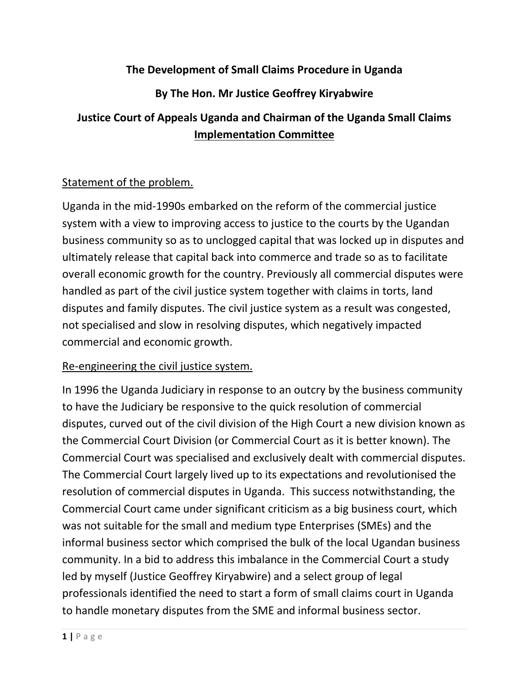## **The Development of Small Claims Procedure in Uganda**

## **By The Hon. Mr Justice Geoffrey Kiryabwire**

# **Justice Court of Appeals Uganda and Chairman of the Uganda Small Claims Implementation Committee**

### Statement of the problem.

Uganda in the mid-1990s embarked on the reform of the commercial justice system with a view to improving access to justice to the courts by the Ugandan business community so as to unclogged capital that was locked up in disputes and ultimately release that capital back into commerce and trade so as to facilitate overall economic growth for the country. Previously all commercial disputes were handled as part of the civil justice system together with claims in torts, land disputes and family disputes. The civil justice system as a result was congested, not specialised and slow in resolving disputes, which negatively impacted commercial and economic growth.

#### Re-engineering the civil justice system.

In 1996 the Uganda Judiciary in response to an outcry by the business community to have the Judiciary be responsive to the quick resolution of commercial disputes, curved out of the civil division of the High Court a new division known as the Commercial Court Division (or Commercial Court as it is better known). The Commercial Court was specialised and exclusively dealt with commercial disputes. The Commercial Court largely lived up to its expectations and revolutionised the resolution of commercial disputes in Uganda. This success notwithstanding, the Commercial Court came under significant criticism as a big business court, which was not suitable for the small and medium type Enterprises (SMEs) and the informal business sector which comprised the bulk of the local Ugandan business community. In a bid to address this imbalance in the Commercial Court a study led by myself (Justice Geoffrey Kiryabwire) and a select group of legal professionals identified the need to start a form of small claims court in Uganda to handle monetary disputes from the SME and informal business sector.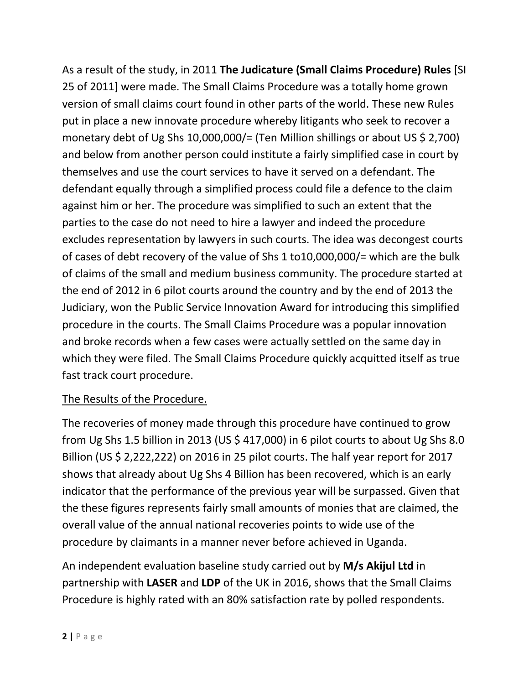As a result of the study, in 2011 **The Judicature (Small Claims Procedure) Rules** [SI 25 of 2011] were made. The Small Claims Procedure was a totally home grown version of small claims court found in other parts of the world. These new Rules put in place a new innovate procedure whereby litigants who seek to recover a monetary debt of Ug Shs 10,000,000/= (Ten Million shillings or about US \$ 2,700) and below from another person could institute a fairly simplified case in court by themselves and use the court services to have it served on a defendant. The defendant equally through a simplified process could file a defence to the claim against him or her. The procedure was simplified to such an extent that the parties to the case do not need to hire a lawyer and indeed the procedure excludes representation by lawyers in such courts. The idea was decongest courts of cases of debt recovery of the value of Shs 1 to10,000,000/= which are the bulk of claims of the small and medium business community. The procedure started at the end of 2012 in 6 pilot courts around the country and by the end of 2013 the Judiciary, won the Public Service Innovation Award for introducing this simplified procedure in the courts. The Small Claims Procedure was a popular innovation and broke records when a few cases were actually settled on the same day in which they were filed. The Small Claims Procedure quickly acquitted itself as true fast track court procedure.

## The Results of the Procedure.

The recoveries of money made through this procedure have continued to grow from Ug Shs 1.5 billion in 2013 (US  $\frac{2}{3}$  417,000) in 6 pilot courts to about Ug Shs 8.0 Billion (US \$ 2,222,222) on 2016 in 25 pilot courts. The half year report for 2017 shows that already about Ug Shs 4 Billion has been recovered, which is an early indicator that the performance of the previous year will be surpassed. Given that the these figures represents fairly small amounts of monies that are claimed, the overall value of the annual national recoveries points to wide use of the procedure by claimants in a manner never before achieved in Uganda.

An independent evaluation baseline study carried out by **M/s Akijul Ltd** in partnership with **LASER** and **LDP** of the UK in 2016, shows that the Small Claims Procedure is highly rated with an 80% satisfaction rate by polled respondents.